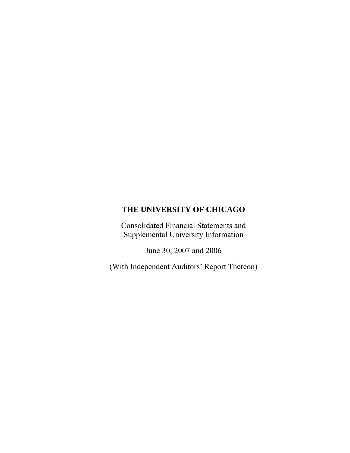Consolidated Financial Statements and Supplemental University Information

June 30, 2007 and 2006

(With Independent Auditors' Report Thereon)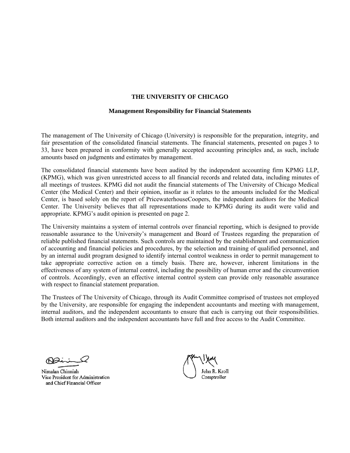#### **Management Responsibility for Financial Statements**

The management of The University of Chicago (University) is responsible for the preparation, integrity, and fair presentation of the consolidated financial statements. The financial statements, presented on pages 3 to 33, have been prepared in conformity with generally accepted accounting principles and, as such, include amounts based on judgments and estimates by management.

The consolidated financial statements have been audited by the independent accounting firm KPMG LLP, (KPMG), which was given unrestricted access to all financial records and related data, including minutes of all meetings of trustees. KPMG did not audit the financial statements of The University of Chicago Medical Center (the Medical Center) and their opinion, insofar as it relates to the amounts included for the Medical Center, is based solely on the report of PricewaterhouseCoopers, the independent auditors for the Medical Center. The University believes that all representations made to KPMG during its audit were valid and appropriate. KPMG's audit opinion is presented on page 2.

The University maintains a system of internal controls over financial reporting, which is designed to provide reasonable assurance to the University's management and Board of Trustees regarding the preparation of reliable published financial statements. Such controls are maintained by the establishment and communication of accounting and financial policies and procedures, by the selection and training of qualified personnel, and by an internal audit program designed to identify internal control weakness in order to permit management to take appropriate corrective action on a timely basis. There are, however, inherent limitations in the effectiveness of any system of internal control, including the possibility of human error and the circumvention of controls. Accordingly, even an effective internal control system can provide only reasonable assurance with respect to financial statement preparation.

The Trustees of The University of Chicago, through its Audit Committee comprised of trustees not employed by the University, are responsible for engaging the independent accountants and meeting with management, internal auditors, and the independent accountants to ensure that each is carrying out their responsibilities. Both internal auditors and the independent accountants have full and free access to the Audit Committee.

Dai

Nimalan Chinniah Vice President for Administration and Chief Financial Officer

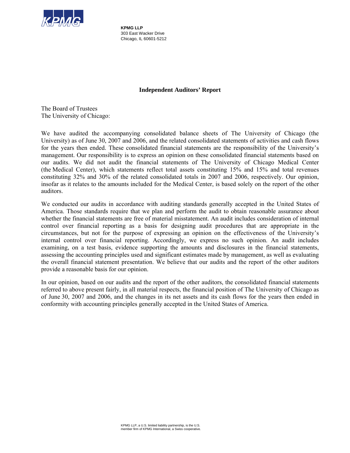

**KPMG LLP** 303 East Wacker Drive Chicago, IL 60601-5212

# **Independent Auditors' Report**

The Board of Trustees The University of Chicago:

We have audited the accompanying consolidated balance sheets of The University of Chicago (the University) as of June 30, 2007 and 2006, and the related consolidated statements of activities and cash flows for the years then ended. These consolidated financial statements are the responsibility of the University's management. Our responsibility is to express an opinion on these consolidated financial statements based on our audits. We did not audit the financial statements of The University of Chicago Medical Center (the Medical Center), which statements reflect total assets constituting 15% and 15% and total revenues constituting 32% and 30% of the related consolidated totals in 2007 and 2006, respectively. Our opinion, insofar as it relates to the amounts included for the Medical Center, is based solely on the report of the other auditors.

We conducted our audits in accordance with auditing standards generally accepted in the United States of America. Those standards require that we plan and perform the audit to obtain reasonable assurance about whether the financial statements are free of material misstatement. An audit includes consideration of internal control over financial reporting as a basis for designing audit procedures that are appropriate in the circumstances, but not for the purpose of expressing an opinion on the effectiveness of the University's internal control over financial reporting. Accordingly, we express no such opinion. An audit includes examining, on a test basis, evidence supporting the amounts and disclosures in the financial statements, assessing the accounting principles used and significant estimates made by management, as well as evaluating the overall financial statement presentation. We believe that our audits and the report of the other auditors provide a reasonable basis for our opinion.

In our opinion, based on our audits and the report of the other auditors, the consolidated financial statements referred to above present fairly, in all material respects, the financial position of The University of Chicago as of June 30, 2007 and 2006, and the changes in its net assets and its cash flows for the years then ended in conformity with accounting principles generally accepted in the United States of America.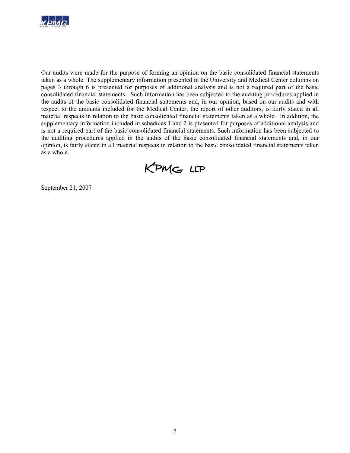

Our audits were made for the purpose of forming an opinion on the basic consolidated financial statements taken as a whole. The supplementary information presented in the University and Medical Center columns on pages 3 through 6 is presented for purposes of additional analysis and is not a required part of the basic consolidated financial statements. Such information has been subjected to the auditing procedures applied in the audits of the basic consolidated financial statements and, in our opinion, based on our audits and with respect to the amounts included for the Medical Center, the report of other auditors, is fairly stated in all material respects in relation to the basic consolidated financial statements taken as a whole. In addition, the supplementary information included in schedules 1 and 2 is presented for purposes of additional analysis and is not a required part of the basic consolidated financial statements. Such information has been subjected to the auditing procedures applied in the audits of the basic consolidated financial statements and, in our opinion, is fairly stated in all material respects in relation to the basic consolidated financial statements taken as a whole.

KPMG LLP

September 21, 2007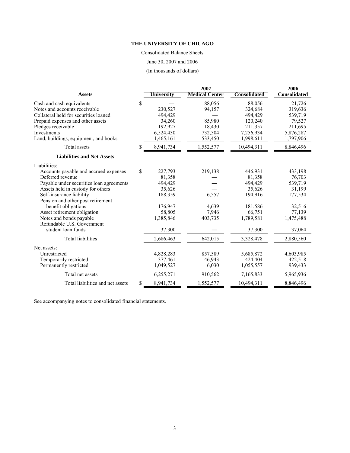Consolidated Balance Sheets June 30, 2007 and 2006

(In thousands of dollars)

|                                          |    |            | 2006                  |              |              |
|------------------------------------------|----|------------|-----------------------|--------------|--------------|
| <b>Assets</b>                            |    | University | <b>Medical Center</b> | Consolidated | Consolidated |
| Cash and cash equivalents                | S  |            | 88,056                | 88,056       | 21,726       |
| Notes and accounts receivable            |    | 230,527    | 94,157                | 324,684      | 319,636      |
| Collateral held for securities loaned    |    | 494,429    |                       | 494,429      | 539,719      |
| Prepaid expenses and other assets        |    | 34,260     | 85,980                | 120,240      | 79,527       |
| Pledges receivable                       |    | 192,927    | 18,430                | 211,357      | 211,695      |
| Investments                              |    | 6,524,430  | 732,504               | 7,256,934    | 5,876,287    |
| Land, buildings, equipment, and books    |    | 1,465,161  | 533,450               | 1,998,611    | 1,797,906    |
| Total assets                             | S  | 8,941,734  | 1,552,577             | 10,494,311   | 8,846,496    |
| <b>Liabilities and Net Assets</b>        |    |            |                       |              |              |
| Liabilities:                             |    |            |                       |              |              |
| Accounts payable and accrued expenses    | \$ | 227,793    | 219,138               | 446,931      | 433,198      |
| Deferred revenue                         |    | 81,358     |                       | 81,358       | 76,703       |
| Payable under securities loan agreements |    | 494,429    |                       | 494,429      | 539,719      |
| Assets held in custody for others        |    | 35,626     |                       | 35,626       | 31,199       |
| Self-insurance liability                 |    | 188,359    | 6,557                 | 194,916      | 177,534      |
| Pension and other post retirement        |    |            |                       |              |              |
| benefit obligations                      |    | 176,947    | 4,639                 | 181,586      | 32,516       |
| Asset retirement obligation              |    | 58,805     | 7,946                 | 66,751       | 77,139       |
| Notes and bonds payable                  |    | 1,385,846  | 403,735               | 1,789,581    | 1,475,488    |
| Refundable U.S. Government               |    |            |                       |              |              |
| student loan funds                       |    | 37,300     |                       | 37,300       | 37,064       |
| <b>Total liabilities</b>                 |    | 2,686,463  | 642,015               | 3,328,478    | 2,880,560    |
| Net assets:                              |    |            |                       |              |              |
| Unrestricted                             |    | 4,828,283  | 857,589               | 5,685,872    | 4,603,985    |
| Temporarily restricted                   |    | 377,461    | 46,943                | 424,404      | 422,518      |
| Permanently restricted                   |    | 1,049,527  | 6,030                 | 1,055,557    | 939,433      |
| Total net assets                         |    | 6,255,271  | 910,562               | 7,165,833    | 5,965,936    |
| Total liabilities and net assets         | \$ | 8,941,734  | 1,552,577             | 10,494,311   | 8,846,496    |

See accompanying notes to consolidated financial statements.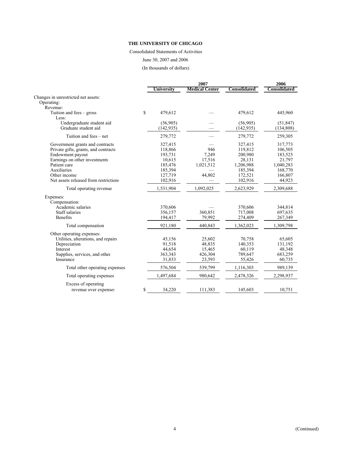Consolidated Statements of Activities

June 30, 2007 and 2006

(In thousands of dollars)

|                                       |             |                   | 2006                  |                     |                     |
|---------------------------------------|-------------|-------------------|-----------------------|---------------------|---------------------|
|                                       |             | <b>University</b> | <b>Medical Center</b> | <b>Consolidated</b> | <b>Consolidated</b> |
| Changes in unrestricted net assets:   |             |                   |                       |                     |                     |
| Operating:                            |             |                   |                       |                     |                     |
| Revenue:                              |             |                   |                       |                     |                     |
| Tuition and fees $-$ gross<br>Less:   | $\mathbf S$ | 479,612           |                       | 479,612             | 445,960             |
| Undergraduate student aid             |             | (56,905)          |                       | (56,905)            | (51, 847)           |
| Graduate student aid                  |             | (142, 935)        |                       | (142, 935)          | (134,808)           |
| Tuition and fees – net                |             | 279,772           |                       | 279,772             | 259,305             |
| Government grants and contracts       |             | 327,415           |                       | 327,415             | 317,773             |
| Private gifts, grants, and contracts  |             | 118,866           | 946                   | 119,812             | 106,505             |
| Endowment payout                      |             | 193,731           | 7,249                 | 200,980             | 183,525             |
| Earnings on other investments         |             | 10,615            | 17,516                | 28,131              | 21,797              |
| Patient care                          |             | 185,476           | 1,021,512             | 1,206,988           | 1,040,283           |
| Auxiliaries                           |             | 185,394           |                       | 185,394             | 168,770             |
| Other income                          |             | 127,719           | 44,802                | 172,521             | 166,807             |
| Net assets released from restrictions |             | 102,916           |                       | 102,916             | 44,923              |
| Total operating revenue               |             | 1,531,904         | 1,092,025             | 2,623,929           | 2,309,688           |
| Expenses:                             |             |                   |                       |                     |                     |
| Compensation:                         |             |                   |                       |                     |                     |
| Academic salaries                     |             | 370,606           |                       | 370,606             | 344,814             |
| Staff salaries                        |             | 356,157           | 360,851               | 717,008             | 697,635             |
| Benefits                              |             | 194,417           | 79,992                | 274,409             | 267,349             |
| Total compensation                    |             | 921,180           | 440,843               | 1,362,023           | 1,309,798           |
| Other operating expenses:             |             |                   |                       |                     |                     |
| Utilities, alterations, and repairs   |             | 45,156            | 25,602                | 70,758              | 65,605              |
| Depreciation                          |             | 91,518            | 48,835                | 140,353             | 131,192             |
| Interest                              |             | 44,654            | 15,465                | 60,119              | 48,348              |
| Supplies, services, and other         |             | 363,343           | 426,304               | 789,647             | 683,259             |
| Insurance                             |             | 31,833            | 23,593                | 55,426              | 60,735              |
| Total other operating expenses        |             | 576,504           | 539,799               | 1,116,303           | 989,139             |
| Total operating expenses              |             | 1,497,684         | 980,642               | 2,478,326           | 2,298,937           |
| Excess of operating                   |             |                   |                       |                     |                     |
| revenue over expenses                 | \$          | 34,220            | 111,383               | 145,603             | 10,751              |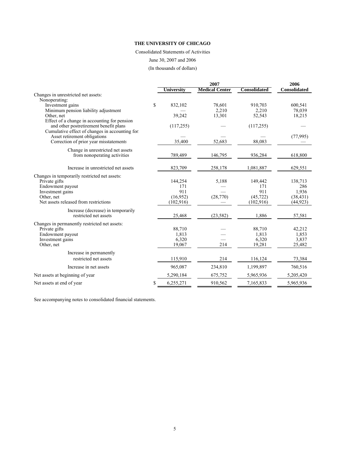#### Consolidated Statements of Activities

June 30, 2007 and 2006

(In thousands of dollars)

|                                                          |                 | 2007                  |                     | 2006                |
|----------------------------------------------------------|-----------------|-----------------------|---------------------|---------------------|
|                                                          | University      | <b>Medical Center</b> | <b>Consolidated</b> | <b>Consolidated</b> |
| Changes in unrestricted net assets:                      |                 |                       |                     |                     |
| Nonoperating:                                            |                 |                       |                     |                     |
| Investment gains<br>Minimum pension liability adjustment | \$<br>832,102   | 78,601<br>2,210       | 910,703<br>2,210    | 600,541<br>78,039   |
| Other, net                                               | 39,242          | 13,301                | 52,543              | 18,215              |
| Effect of a change in accounting for pension             |                 |                       |                     |                     |
| and other postretirement benefit plans                   | (117, 255)      |                       | (117, 255)          |                     |
| Cumulative effect of changes in accounting for:          |                 |                       |                     |                     |
| Asset retirement obligations                             |                 |                       |                     | (77, 995)           |
| Correction of prior year misstatements                   | 35,400          | 52,683                | 88,083              |                     |
| Change in unrestricted net assets                        |                 |                       |                     |                     |
| from nonoperating activities                             | 789,489         | 146,795               | 936,284             | 618,800             |
|                                                          |                 |                       |                     |                     |
| Increase in unrestricted net assets                      | 823,709         | 258,178               | 1,081,887           | 629,551             |
| Changes in temporarily restricted net assets:            |                 |                       |                     |                     |
| Private gifts                                            | 144,254         | 5,188                 | 149,442             | 138,713             |
| Endowment payout                                         | 171             |                       | 171                 | 286                 |
| Investment gains                                         | 911             |                       | 911                 | 1,936               |
| Other, net                                               | (16,952)        | (28,770)              | (45, 722)           | (38, 431)           |
| Net assets released from restrictions                    | (102, 916)      |                       | (102, 916)          | (44, 923)           |
| Increase (decrease) in temporarily                       |                 |                       |                     |                     |
| restricted net assets                                    | 25,468          | (23, 582)             | 1,886               | 57,581              |
| Changes in permanently restricted net assets:            |                 |                       |                     |                     |
| Private gifts                                            | 88,710          |                       | 88,710              | 42,212              |
| Endowment payout                                         | 1,813           |                       | 1,813               | 1,853               |
| Investment gains                                         | 6,320           |                       | 6,320               | 3,837               |
| Other, net                                               | 19,067          | 214                   | 19,281              | 25,482              |
| Increase in permanently                                  |                 |                       |                     |                     |
| restricted net assets                                    | 115,910         | 214                   | 116,124             | 73,384              |
| Increase in net assets                                   | 965,087         | 234,810               | 1,199,897           | 760,516             |
| Net assets at beginning of year                          | 5,290,184       | 675,752               | 5,965,936           | 5,205,420           |
| Net assets at end of year                                | \$<br>6,255,271 | 910,562               | 7,165,833           | 5,965,936           |

See accompanying notes to consolidated financial statements.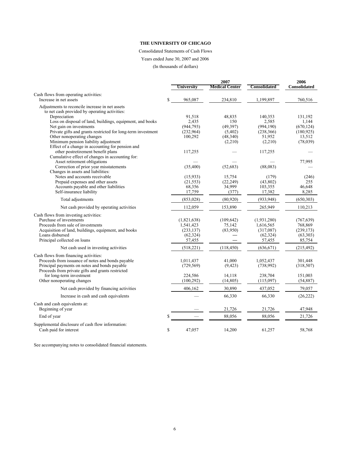# Consolidated Statements of Cash Flows

Years ended June 30, 2007 and 2006

(In thousands of dollars)

|                                                              |               | 2007                  |              | 2006                |
|--------------------------------------------------------------|---------------|-----------------------|--------------|---------------------|
|                                                              | Universitv    | <b>Medical Center</b> | Consolidated | <b>Consolidated</b> |
| Cash flows from operating activities:                        |               |                       |              |                     |
| Increase in net assets                                       | \$<br>965,087 | 234,810               | 1,199,897    | 760,516             |
| Adjustments to reconcile increase in net assets              |               |                       |              |                     |
| to net cash provided by operating activities:                |               |                       |              |                     |
| Depreciation                                                 | 91,518        | 48.835                | 140,353      | 131,192             |
| Loss on disposal of land, buildings, equipment, and books    | 2,435         | 150                   | 2,585        | 1,144               |
| Net gain on investments                                      | (944, 793)    | (49, 397)             | (994, 190)   | (670, 124)          |
| Private gifts and grants restricted for long-term investment | (232,964)     | (5,402)               | (238, 366)   | (180, 925)          |
| Other nonoperating changes                                   | 100,292       | (48, 340)             | 51,952       | 13,512              |
| Minimum pension liability adjustment                         |               | (2,210)               | (2,210)      | (78,039)            |
| Effect of a change in accounting for pension and             |               |                       |              |                     |
| other postretirement benefit plans                           | 117,255       |                       | 117,255      |                     |
| Cumulative effect of changes in accounting for:              |               |                       |              |                     |
| Asset retirement obligations                                 |               |                       |              | 77,995              |
| Correction of prior year misstatements                       | (35,400)      | (52, 683)             | (88,083)     |                     |
| Changes in assets and liabilities:                           |               |                       |              |                     |
| Notes and accounts receivable                                | (15,933)      | 15,754                | (179)        | (246)               |
| Prepaid expenses and other assets                            | (21, 553)     | (22, 249)             | (43,802)     | 255                 |
| Accounts payable and other liabilities                       | 68,356        | 34,999                | 103,355      | 46,648              |
| Self-insurance liability                                     | 17,759        | (377)                 | 17,382       | 8,285               |
| Total adjustments                                            | (853, 028)    | (80,920)              | (933, 948)   | (650, 303)          |
| Net cash provided by operating activities                    | 112,059       | 153,890               | 265,949      | 110,213             |
| Cash flows from investing activities:                        |               |                       |              |                     |
| Purchase of investments                                      | (1,821,638)   | (109, 642)            | (1,931,280)  | (767, 639)          |
| Proceeds from sale of investments                            | 1,541,423     | 75,142                | 1,616,565    | 768,869             |
| Acquisition of land, buildings, equipment, and books         | (233, 137)    | (83,950)              | (317,087)    | (239, 173)          |
| Loans disbursed                                              | (62, 324)     |                       | (62, 324)    | (63,303)            |
| Principal collected on loans                                 | 57,455        |                       | 57,455       | 85,754              |
|                                                              |               |                       |              |                     |
| Net cash used in investing activities                        | (518, 221)    | (118, 450)            | (636, 671)   | (215, 492)          |
| Cash flows from financing activities:                        |               |                       |              |                     |
| Proceeds from issuance of notes and bonds payable            | 1,011,437     | 41,000                | 1,052,437    | 301,448             |
| Principal payments on notes and bonds payable                | (729, 569)    | (9, 423)              | (738,992)    | (318, 507)          |
| Proceeds from private gifts and grants restricted            |               |                       |              |                     |
| for long-term investment                                     | 224,586       | 14,118                | 238,704      | 151,003             |
| Other nonoperating changes                                   | (100, 292)    | (14, 805)             | (115,097)    | (54, 887)           |
| Net cash provided by financing activities                    | 406,162       | 30,890                | 437,052      | 79,057              |
| Increase in cash and cash equivalents                        |               | 66,330                | 66,330       | (26, 222)           |
| Cash and cash equivalents at:                                |               |                       |              |                     |
| Beginning of year                                            |               | 21,726                | 21,726       | 47,948              |
| End of year                                                  | \$            | 88,056                | 88,056       | 21,726              |
| Supplemental disclosure of cash flow information:            |               |                       |              |                     |
| Cash paid for interest                                       | \$<br>47,057  | 14,200                | 61,257       | 58,768              |
|                                                              |               |                       |              |                     |

See accompanying notes to consolidated financial statements.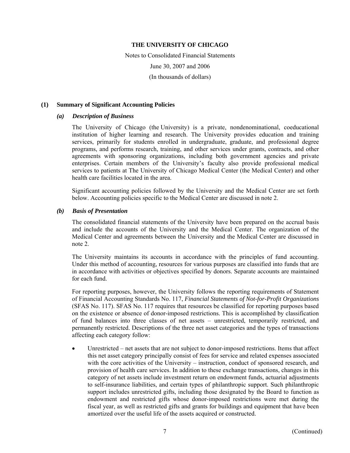Notes to Consolidated Financial Statements June 30, 2007 and 2006 (In thousands of dollars)

## **(1) Summary of Significant Accounting Policies**

# *(a) Description of Business*

The University of Chicago (the University) is a private, nondenominational, coeducational institution of higher learning and research. The University provides education and training services, primarily for students enrolled in undergraduate, graduate, and professional degree programs, and performs research, training, and other services under grants, contracts, and other agreements with sponsoring organizations, including both government agencies and private enterprises. Certain members of the University's faculty also provide professional medical services to patients at The University of Chicago Medical Center (the Medical Center) and other health care facilities located in the area.

Significant accounting policies followed by the University and the Medical Center are set forth below. Accounting policies specific to the Medical Center are discussed in note 2.

# *(b) Basis of Presentation*

The consolidated financial statements of the University have been prepared on the accrual basis and include the accounts of the University and the Medical Center. The organization of the Medical Center and agreements between the University and the Medical Center are discussed in note 2.

The University maintains its accounts in accordance with the principles of fund accounting. Under this method of accounting, resources for various purposes are classified into funds that are in accordance with activities or objectives specified by donors. Separate accounts are maintained for each fund.

For reporting purposes, however, the University follows the reporting requirements of Statement of Financial Accounting Standards No. 117, *Financial Statements of Not-for-Profit Organizations* (SFAS No. 117). SFAS No. 117 requires that resources be classified for reporting purposes based on the existence or absence of donor-imposed restrictions. This is accomplished by classification of fund balances into three classes of net assets – unrestricted, temporarily restricted, and permanently restricted. Descriptions of the three net asset categories and the types of transactions affecting each category follow:

• Unrestricted – net assets that are not subject to donor-imposed restrictions. Items that affect this net asset category principally consist of fees for service and related expenses associated with the core activities of the University – instruction, conduct of sponsored research, and provision of health care services. In addition to these exchange transactions, changes in this category of net assets include investment return on endowment funds, actuarial adjustments to self-insurance liabilities, and certain types of philanthropic support. Such philanthropic support includes unrestricted gifts, including those designated by the Board to function as endowment and restricted gifts whose donor-imposed restrictions were met during the fiscal year, as well as restricted gifts and grants for buildings and equipment that have been amortized over the useful life of the assets acquired or constructed.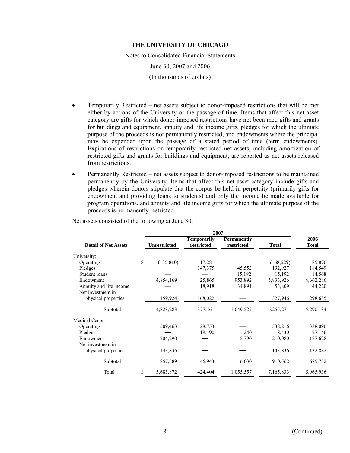Notes to Consolidated Financial Statements June 30, 2007 and 2006 (In thousands of dollars)

- Temporarily Restricted net assets subject to donor-imposed restrictions that will be met either by actions of the University or the passage of time. Items that affect this net asset category are gifts for which donor-imposed restrictions have not been met, gifts and grants for buildings and equipment, annuity and life income gifts, pledges for which the ultimate purpose of the proceeds is not permanently restricted, and endowments where the principal may be expended upon the passage of a stated period of time (term endowments). Expirations of restrictions on temporarily restricted net assets, including amortization of restricted gifts and grants for buildings and equipment, are reported as net assets released from restrictions.
- Permanently Restricted net assets subject to donor-imposed restrictions to be maintained permanently by the University. Items that affect this net asset category include gifts and pledges wherein donors stipulate that the corpus be held in perpetuity (primarily gifts for endowment and providing loans to students) and only the income be made available for program operations, and annuity and life income gifts for which the ultimate purpose of the proceeds is permanently restricted.

|                                              |    | 2007                |                                  |                                  |              |                      |  |  |  |  |  |
|----------------------------------------------|----|---------------------|----------------------------------|----------------------------------|--------------|----------------------|--|--|--|--|--|
| <b>Detail of Net Assets</b>                  |    | <b>Unrestricted</b> | <b>Temporarily</b><br>restricted | <b>Permanently</b><br>restricted | <b>Total</b> | 2006<br><b>Total</b> |  |  |  |  |  |
| University:                                  |    |                     |                                  |                                  |              |                      |  |  |  |  |  |
| Operating                                    | \$ | (185, 810)          | 17,281                           |                                  | (168, 529)   | 85,876               |  |  |  |  |  |
| Pledges                                      |    |                     | 147,375                          | 45,552                           | 192,927      | 184,549              |  |  |  |  |  |
| Student loans                                |    |                     |                                  | 15,192                           | 15,192       | 14,568               |  |  |  |  |  |
| Endowment                                    |    | 4,854,169           | 25,865                           | 953,892                          | 5,833,926    | 4,662,286            |  |  |  |  |  |
| Annuity and life income<br>Net investment in |    |                     | 18,918                           | 34,891                           | 53,809       | 44,220               |  |  |  |  |  |
| physical properties                          |    | 159,924             | 168,022                          |                                  | 327,946      | 298,685              |  |  |  |  |  |
| Subtotal                                     |    | 4,828,283           | 377,461                          | 1,049,527                        | 6,255,271    | 5,290,184            |  |  |  |  |  |
| Medical Center:                              |    |                     |                                  |                                  |              |                      |  |  |  |  |  |
| Operating                                    |    | 509,463             | 28,753                           |                                  | 538,216      | 338,096              |  |  |  |  |  |
| Pledges                                      |    |                     | 18,190                           | 240                              | 18,430       | 27,146               |  |  |  |  |  |
| Endowment                                    |    | 204,290             |                                  | 5,790                            | 210,080      | 177,628              |  |  |  |  |  |
| Net investment in                            |    |                     |                                  |                                  |              |                      |  |  |  |  |  |
| physical properties                          |    | 143,836             |                                  |                                  | 143,836      | 132,882              |  |  |  |  |  |
| Subtotal                                     |    | 857,589             | 46,943                           | 6,030                            | 910,562      | 675,752              |  |  |  |  |  |
| Total                                        | S  | 5,685,872           | 424,404                          | 1,055,557                        | 7,165,833    | 5,965,936            |  |  |  |  |  |

Net assets consisted of the following at June 30: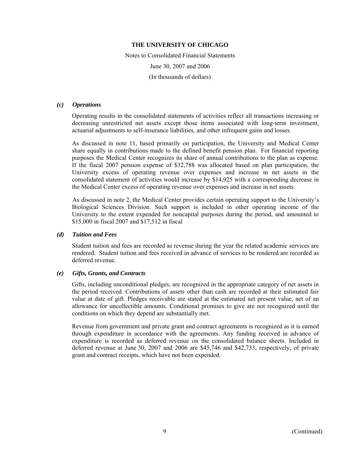Notes to Consolidated Financial Statements June 30, 2007 and 2006 (In thousands of dollars)

#### *(c) Operations*

Operating results in the consolidated statements of activities reflect all transactions increasing or decreasing unrestricted net assets except those items associated with long-term investment, actuarial adjustments to self-insurance liabilities, and other infrequent gains and losses.

As discussed in note 11, based primarily on participation, the University and Medical Center share equally in contributions made to the defined benefit pension plan. For financial reporting purposes the Medical Center recognizes its share of annual contributions to the plan as expense. If the fiscal 2007 pension expense of \$32,788 was allocated based on plan participation, the University excess of operating revenue over expenses and increase in net assets in the consolidated statement of activities would increase by \$14,925 with a corresponding decrease in the Medical Center excess of operating revenue over expenses and increase in net assets.

As discussed in note 2, the Medical Center provides certain operating support to the University's Biological Sciences Division. Such support is included in other operating income of the University to the extent expended for noncapital purposes during the period, and amounted to \$15,000 in fiscal 2007 and \$17,512 in fiscal

# *(d) Tuition and Fees*

Student tuition and fees are recorded as revenue during the year the related academic services are rendered. Student tuition and fees received in advance of services to be rendered are recorded as deferred revenue.

#### *(e) Gifts, Grants, and Contracts*

Gifts, including unconditional pledges, are recognized in the appropriate category of net assets in the period received. Contributions of assets other than cash are recorded at their estimated fair value at date of gift. Pledges receivable are stated at the estimated net present value, net of an allowance for uncollectible amounts. Conditional promises to give are not recognized until the conditions on which they depend are substantially met.

Revenue from government and private grant and contract agreements is recognized as it is earned through expenditure in accordance with the agreements. Any funding received in advance of expenditure is recorded as deferred revenue on the consolidated balance sheets. Included in deferred revenue at June 30, 2007 and 2006 are \$45,746 and \$42,733, respectively, of private grant and contract receipts, which have not been expended.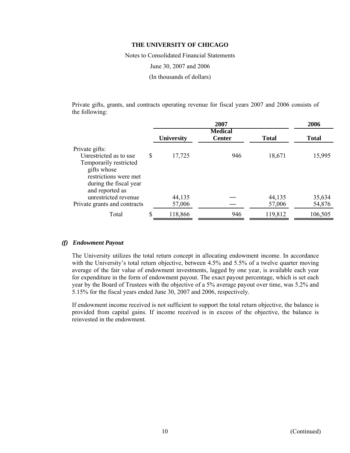Notes to Consolidated Financial Statements June 30, 2007 and 2006 (In thousands of dollars)

Private gifts, grants, and contracts operating revenue for fiscal years 2007 and 2006 consists of the following:

|                                                                                                                                                         |    |                   | 2006                            |                  |                  |
|---------------------------------------------------------------------------------------------------------------------------------------------------------|----|-------------------|---------------------------------|------------------|------------------|
|                                                                                                                                                         |    | <b>University</b> | <b>Medical</b><br><b>Center</b> | <b>Total</b>     | <b>Total</b>     |
| Private gifts:<br>Unrestricted as to use<br>Temporarily restricted<br>gifts whose<br>restrictions were met<br>during the fiscal year<br>and reported as | \$ | 17,725            | 946                             | 18,671           | 15,995           |
| unrestricted revenue<br>Private grants and contracts                                                                                                    |    | 44,135<br>57,006  |                                 | 44,135<br>57,006 | 35,634<br>54,876 |
| Total                                                                                                                                                   | \$ | 118,866           | 946                             | 119,812          | 106,505          |

# *(f) Endowment Payout*

The University utilizes the total return concept in allocating endowment income. In accordance with the University's total return objective, between 4.5% and 5.5% of a twelve quarter moving average of the fair value of endowment investments, lagged by one year, is available each year for expenditure in the form of endowment payout. The exact payout percentage, which is set each year by the Board of Trustees with the objective of a 5% average payout over time, was 5.2% and 5.15% for the fiscal years ended June 30, 2007 and 2006, respectively.

If endowment income received is not sufficient to support the total return objective, the balance is provided from capital gains. If income received is in excess of the objective, the balance is reinvested in the endowment.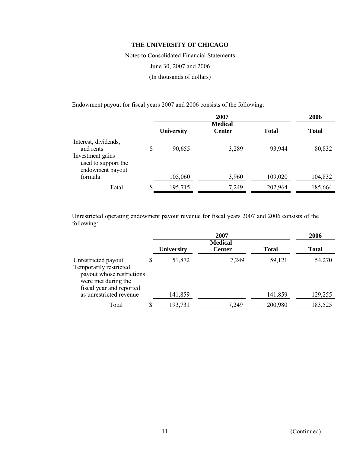Notes to Consolidated Financial Statements June 30, 2007 and 2006 (In thousands of dollars)

Endowment payout for fiscal years 2007 and 2006 consists of the following:

|                                                                                                  | 2007              |                                 |              |              |  |  |  |
|--------------------------------------------------------------------------------------------------|-------------------|---------------------------------|--------------|--------------|--|--|--|
|                                                                                                  | <b>University</b> | <b>Medical</b><br><b>Center</b> | <b>Total</b> | <b>Total</b> |  |  |  |
| Interest, dividends,<br>and rents<br>Investment gains<br>used to support the<br>endowment payout | \$<br>90,655      | 3,289                           | 93,944       | 80,832       |  |  |  |
| formula                                                                                          | 105,060           | 3,960                           | 109,020      | 104,832      |  |  |  |
| Total                                                                                            | \$<br>195,715     | 7,249                           | 202,964      | 185,664      |  |  |  |

Unrestricted operating endowment payout revenue for fiscal years 2007 and 2006 consists of the following:

|                                                                                                                                                          |    |                   | 2006                            |                   |                   |  |
|----------------------------------------------------------------------------------------------------------------------------------------------------------|----|-------------------|---------------------------------|-------------------|-------------------|--|
|                                                                                                                                                          |    | <b>University</b> | <b>Medical</b><br><b>Center</b> | <b>Total</b>      | <b>Total</b>      |  |
| Unrestricted payout<br>Temporarily restricted<br>payout whose restrictions<br>were met during the<br>fiscal year and reported<br>as unrestricted revenue | \$ | 51,872<br>141,859 | 7,249                           | 59,121<br>141,859 | 54,270<br>129,255 |  |
|                                                                                                                                                          |    |                   |                                 |                   |                   |  |
| Total                                                                                                                                                    | S  | 193,731           | 7,249                           | 200,980           | 183,525           |  |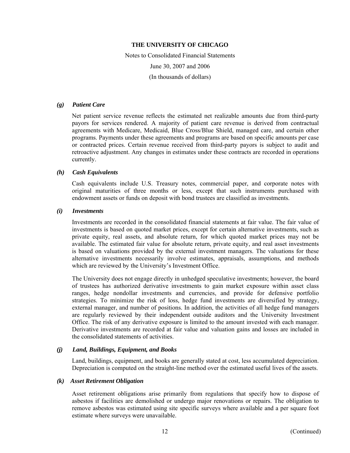Notes to Consolidated Financial Statements June 30, 2007 and 2006 (In thousands of dollars)

# *(g) Patient Care*

Net patient service revenue reflects the estimated net realizable amounts due from third-party payors for services rendered. A majority of patient care revenue is derived from contractual agreements with Medicare, Medicaid, Blue Cross/Blue Shield, managed care, and certain other programs. Payments under these agreements and programs are based on specific amounts per case or contracted prices. Certain revenue received from third-party payors is subject to audit and retroactive adjustment. Any changes in estimates under these contracts are recorded in operations currently.

# *(h) Cash Equivalents*

Cash equivalents include U.S. Treasury notes, commercial paper, and corporate notes with original maturities of three months or less, except that such instruments purchased with endowment assets or funds on deposit with bond trustees are classified as investments.

# *(i) Investments*

Investments are recorded in the consolidated financial statements at fair value. The fair value of investments is based on quoted market prices, except for certain alternative investments, such as private equity, real assets, and absolute return, for which quoted market prices may not be available. The estimated fair value for absolute return, private equity, and real asset investments is based on valuations provided by the external investment managers. The valuations for these alternative investments necessarily involve estimates, appraisals, assumptions, and methods which are reviewed by the University's Investment Office.

The University does not engage directly in unhedged speculative investments; however, the board of trustees has authorized derivative investments to gain market exposure within asset class ranges, hedge nondollar investments and currencies, and provide for defensive portfolio strategies. To minimize the risk of loss, hedge fund investments are diversified by strategy, external manager, and number of positions. In addition, the activities of all hedge fund managers are regularly reviewed by their independent outside auditors and the University Investment Office. The risk of any derivative exposure is limited to the amount invested with each manager. Derivative investments are recorded at fair value and valuation gains and losses are included in the consolidated statements of activities.

# *(j) Land, Buildings, Equipment, and Books*

Land, buildings, equipment, and books are generally stated at cost, less accumulated depreciation. Depreciation is computed on the straight-line method over the estimated useful lives of the assets.

# *(k) Asset Retirement Obligation*

Asset retirement obligations arise primarily from regulations that specify how to dispose of asbestos if facilities are demolished or undergo major renovations or repairs. The obligation to remove asbestos was estimated using site specific surveys where available and a per square foot estimate where surveys were unavailable.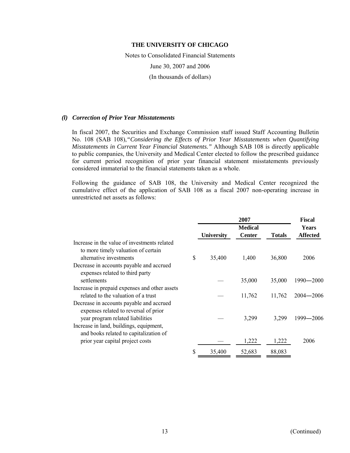Notes to Consolidated Financial Statements June 30, 2007 and 2006 (In thousands of dollars)

#### *(l) Correction of Prior Year Misstatements*

In fiscal 2007, the Securities and Exchange Commission staff issued Staff Accounting Bulletin No. 108 (SAB 108),*"Considering the Effects of Prior Year Misstatements when Quantifying Misstatements in Current Year Financial Statements."* Although SAB 108 is directly applicable to public companies, the University and Medical Center elected to follow the prescribed guidance for current period recognition of prior year financial statement misstatements previously considered immaterial to the financial statements taken as a whole.

Following the guidance of SAB 108, the University and Medical Center recognized the cumulative effect of the application of SAB 108 as a fiscal 2007 non-operating increase in unrestricted net assets as follows:

|                                                                                                                       | 2007              |                                 |               | <b>Fiscal</b>                   |  |
|-----------------------------------------------------------------------------------------------------------------------|-------------------|---------------------------------|---------------|---------------------------------|--|
|                                                                                                                       | <b>University</b> | <b>Medical</b><br><b>Center</b> | <b>Totals</b> | <b>Years</b><br><b>Affected</b> |  |
| Increase in the value of investments related<br>to more timely valuation of certain<br>alternative investments        | \$<br>35,400      | 1,400                           | 36,800        | 2006                            |  |
| Decrease in accounts payable and accrued<br>expenses related to third party                                           |                   |                                 |               |                                 |  |
| settlements                                                                                                           |                   | 35,000                          | 35,000        | 1990—2000                       |  |
| Increase in prepaid expenses and other assets<br>related to the valuation of a trust                                  |                   | 11,762                          | 11,762        | $2004 - 2006$                   |  |
| Decrease in accounts payable and accrued<br>expenses related to reversal of prior                                     |                   |                                 |               |                                 |  |
| year program related liabilities<br>Increase in land, buildings, equipment,<br>and books related to capitalization of |                   | 3,299                           | 3,299         | 1999-2006                       |  |
| prior year capital project costs                                                                                      |                   | 1,222                           | 1,222         | 2006                            |  |
|                                                                                                                       | \$<br>35,400      | 52,683                          | 88,083        |                                 |  |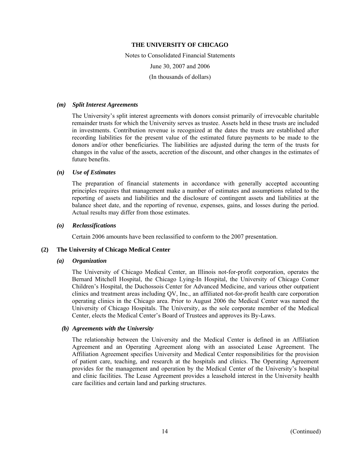Notes to Consolidated Financial Statements June 30, 2007 and 2006 (In thousands of dollars)

#### *(m) Split Interest Agreements*

The University's split interest agreements with donors consist primarily of irrevocable charitable remainder trusts for which the University serves as trustee. Assets held in these trusts are included in investments. Contribution revenue is recognized at the dates the trusts are established after recording liabilities for the present value of the estimated future payments to be made to the donors and/or other beneficiaries. The liabilities are adjusted during the term of the trusts for changes in the value of the assets, accretion of the discount, and other changes in the estimates of future benefits.

#### *(n) Use of Estimates*

The preparation of financial statements in accordance with generally accepted accounting principles requires that management make a number of estimates and assumptions related to the reporting of assets and liabilities and the disclosure of contingent assets and liabilities at the balance sheet date, and the reporting of revenue, expenses, gains, and losses during the period. Actual results may differ from those estimates.

## *(o) Reclassifications*

Certain 2006 amounts have been reclassified to conform to the 2007 presentation.

#### **(2) The University of Chicago Medical Center**

#### *(a) Organization*

The University of Chicago Medical Center, an Illinois not-for-profit corporation, operates the Bernard Mitchell Hospital, the Chicago Lying-In Hospital, the University of Chicago Comer Children's Hospital, the Duchossois Center for Advanced Medicine, and various other outpatient clinics and treatment areas including QV, Inc., an affiliated not-for-profit health care corporation operating clinics in the Chicago area. Prior to August 2006 the Medical Center was named the University of Chicago Hospitals. The University, as the sole corporate member of the Medical Center, elects the Medical Center's Board of Trustees and approves its By-Laws.

#### *(b) Agreements with the University*

The relationship between the University and the Medical Center is defined in an Affiliation Agreement and an Operating Agreement along with an associated Lease Agreement. The Affiliation Agreement specifies University and Medical Center responsibilities for the provision of patient care, teaching, and research at the hospitals and clinics. The Operating Agreement provides for the management and operation by the Medical Center of the University's hospital and clinic facilities. The Lease Agreement provides a leasehold interest in the University health care facilities and certain land and parking structures.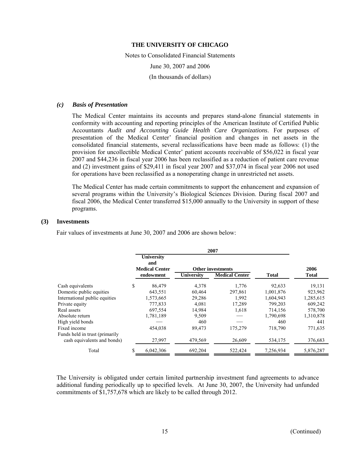Notes to Consolidated Financial Statements June 30, 2007 and 2006 (In thousands of dollars)

#### *(c) Basis of Presentation*

The Medical Center maintains its accounts and prepares stand-alone financial statements in conformity with accounting and reporting principles of the American Institute of Certified Public Accountants *Audit and Accounting Guide Health Care Organizations*. For purposes of presentation of the Medical Center' financial position and changes in net assets in the consolidated financial statements, several reclassifications have been made as follows: (1) the provision for uncollectible Medical Center' patient accounts receivable of \$56,022 in fiscal year 2007 and \$44,236 in fiscal year 2006 has been reclassified as a reduction of patient care revenue and (2) investment gains of \$29,411 in fiscal year 2007 and \$37,074 in fiscal year 2006 not used for operations have been reclassified as a nonoperating change in unrestricted net assets.

The Medical Center has made certain commitments to support the enhancement and expansion of several programs within the University's Biological Sciences Division. During fiscal 2007 and fiscal 2006, the Medical Center transferred \$15,000 annually to the University in support of these programs.

# **(3) Investments**

Fair values of investments at June 30, 2007 and 2006 are shown below:

| 2007                                                          |                                                   |           |                   |                          |              |              |  |  |
|---------------------------------------------------------------|---------------------------------------------------|-----------|-------------------|--------------------------|--------------|--------------|--|--|
|                                                               | <b>University</b><br>and<br><b>Medical Center</b> |           |                   | <b>Other investments</b> |              | 2006         |  |  |
|                                                               |                                                   | endowment | <b>University</b> | <b>Medical Center</b>    | <b>Total</b> | <b>Total</b> |  |  |
| Cash equivalents                                              | \$                                                | 86,479    | 4,378             | 1,776                    | 92,633       | 19,131       |  |  |
| Domestic public equities                                      |                                                   | 643,551   | 60,464            | 297,861                  | 1,001,876    | 923,962      |  |  |
| International public equities                                 |                                                   | 1,573,665 | 29,286            | 1,992                    | 1,604,943    | 1,285,615    |  |  |
| Private equity                                                |                                                   | 777,833   | 4,081             | 17,289                   | 799,203      | 609,242      |  |  |
| Real assets                                                   |                                                   | 697,554   | 14,984            | 1,618                    | 714,156      | 578,700      |  |  |
| Absolute return                                               |                                                   | 1,781,189 | 9,509             |                          | 1,790,698    | 1,310,878    |  |  |
| High yield bonds                                              |                                                   |           | 460               |                          | 460          | 441          |  |  |
| Fixed income                                                  |                                                   | 454.038   | 89,473            | 175,279                  | 718,790      | 771,635      |  |  |
| Funds held in trust (primarily<br>cash equivalents and bonds) |                                                   | 27,997    | 479,569           | 26,609                   | 534,175      | 376,683      |  |  |
| Total                                                         | \$                                                | 6,042,306 | 692,204           | 522,424                  | 7,256,934    | 5,876,287    |  |  |

The University is obligated under certain limited partnership investment fund agreements to advance additional funding periodically up to specified levels. At June 30, 2007, the University had unfunded commitments of \$1,757,678 which are likely to be called through 2012.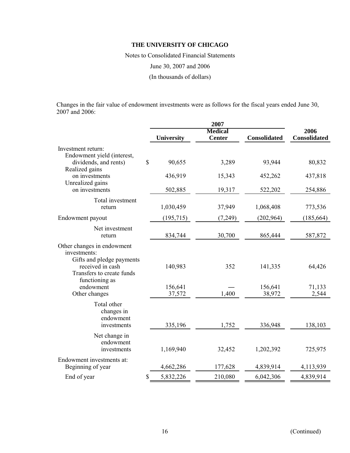Notes to Consolidated Financial Statements June 30, 2007 and 2006 (In thousands of dollars)

Changes in the fair value of endowment investments were as follows for the fiscal years ended June 30, 2007 and 2006:

|                                                                                                                                            |             |                   | 2007                            |                     |                             |  |
|--------------------------------------------------------------------------------------------------------------------------------------------|-------------|-------------------|---------------------------------|---------------------|-----------------------------|--|
|                                                                                                                                            |             | <b>University</b> | <b>Medical</b><br><b>Center</b> | <b>Consolidated</b> | 2006<br><b>Consolidated</b> |  |
| Investment return:<br>Endowment yield (interest,                                                                                           |             |                   |                                 |                     |                             |  |
| dividends, and rents)<br>Realized gains                                                                                                    | $\mathbf S$ | 90,655            | 3,289                           | 93,944              | 80,832                      |  |
| on investments<br>Unrealized gains                                                                                                         |             | 436,919           | 15,343                          | 452,262             | 437,818                     |  |
| on investments                                                                                                                             |             | 502,885           | 19,317                          | 522,202             | 254,886                     |  |
| Total investment<br>return                                                                                                                 |             | 1,030,459         | 37,949                          | 1,068,408           | 773,536                     |  |
| Endowment payout                                                                                                                           |             | (195, 715)        | (7,249)                         | (202,964)           | (185, 664)                  |  |
| Net investment<br>return                                                                                                                   |             | 834,744           | 30,700                          | 865,444             | 587,872                     |  |
| Other changes in endowment<br>investments:<br>Gifts and pledge payments<br>received in cash<br>Transfers to create funds<br>functioning as |             | 140,983           | 352                             | 141,335             | 64,426                      |  |
| endowment<br>Other changes                                                                                                                 |             | 156,641<br>37,572 | 1,400                           | 156,641<br>38,972   | 71,133<br>2,544             |  |
| Total other<br>changes in<br>endowment<br>investments                                                                                      |             | 335,196           | 1,752                           | 336,948             | 138,103                     |  |
| Net change in<br>endowment<br>investments                                                                                                  |             | 1,169,940         | 32,452                          | 1,202,392           | 725,975                     |  |
| Endowment investments at:<br>Beginning of year                                                                                             |             | 4,662,286         | 177,628                         | 4,839,914           | 4,113,939                   |  |
| End of year                                                                                                                                | \$          | 5,832,226         | 210,080                         | 6,042,306           | 4,839,914                   |  |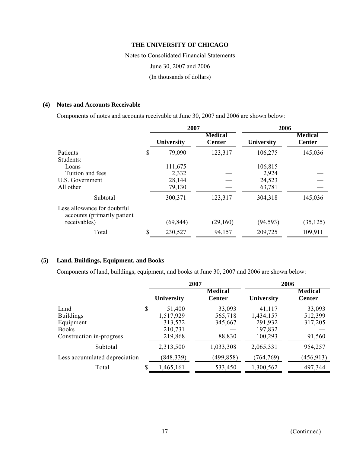Notes to Consolidated Financial Statements June 30, 2007 and 2006 (In thousands of dollars)

# **(4) Notes and Accounts Receivable**

Components of notes and accounts receivable at June 30, 2007 and 2006 are shown below:

|                                                            | 2007         |                                 | 2006              |                                 |  |
|------------------------------------------------------------|--------------|---------------------------------|-------------------|---------------------------------|--|
|                                                            | University   | <b>Medical</b><br><b>Center</b> | <b>University</b> | <b>Medical</b><br><b>Center</b> |  |
| Patients                                                   | \$<br>79,090 | 123,317                         | 106,275           | 145,036                         |  |
| Students:                                                  |              |                                 |                   |                                 |  |
| Loans                                                      | 111,675      |                                 | 106,815           |                                 |  |
| Tuition and fees                                           | 2,332        |                                 | 2,924             |                                 |  |
| U.S. Government                                            | 28,144       |                                 | 24,523            |                                 |  |
| All other                                                  | 79,130       |                                 | 63,781            |                                 |  |
| Subtotal                                                   | 300,371      | 123,317                         | 304,318           | 145,036                         |  |
| Less allowance for doubtful<br>accounts (primarily patient |              |                                 |                   |                                 |  |
| receivables)                                               | (69, 844)    | (29,160)                        | (94, 593)         | (35, 125)                       |  |
| Total                                                      | 230,527      | 94,157                          | 209,725           | 109,911                         |  |

# **(5) Land, Buildings, Equipment, and Books**

Components of land, buildings, equipment, and books at June 30, 2007 and 2006 are shown below:

|                               | 2007                 |  |                                 | 2006                 |                                 |
|-------------------------------|----------------------|--|---------------------------------|----------------------|---------------------------------|
|                               | University           |  | <b>Medical</b><br><b>Center</b> | University           | <b>Medical</b><br><b>Center</b> |
| Land                          | \$<br>51,400         |  | 33,093                          | 41,117               | 33,093                          |
| <b>Buildings</b><br>Equipment | 1,517,929<br>313,572 |  | 565,718<br>345,667              | 1,434,157<br>291,932 | 512,399<br>317,205              |
| <b>Books</b>                  | 210,731              |  |                                 | 197,832              |                                 |
| Construction in-progress      | 219,868              |  | 88,830                          | 100,293              | 91,560                          |
| Subtotal                      | 2,313,500            |  | 1,033,308                       | 2,065,331            | 954,257                         |
| Less accumulated depreciation | (848, 339)           |  | (499,858)                       | (764, 769)           | (456, 913)                      |
| Total                         | \$<br>1,465,161      |  | 533,450                         | 1,300,562            | 497,344                         |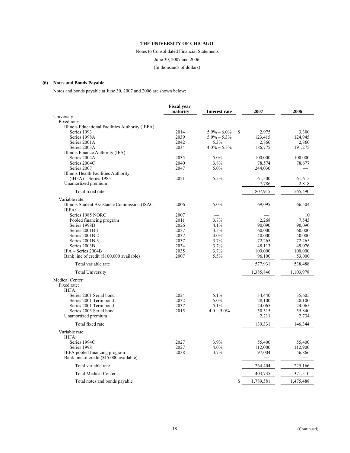Notes to Consolidated Financial Statements June 30, 2007 and 2006 (In thousands of dollars)

#### **(6) Notes and Bonds Payable**

Notes and bonds payable at June 30, 2007 and 2006 are shown below:

|                                                  | <b>Fiscal year</b> |                       |           |           |
|--------------------------------------------------|--------------------|-----------------------|-----------|-----------|
| University:                                      | maturity           | Interest rate         | 2007      | 2006      |
| Fixed rate:                                      |                    |                       |           |           |
| Illinois Educational Facilities Authority (IEFA) |                    |                       |           |           |
| Series 1993                                      | 2014               | \$<br>$5.9\% - 6.0\%$ | 2,975     | 3,300     |
| Series 1998A                                     | 2039               | $5.0\% - 5.3\%$       | 123,415   | 124,945   |
| Series 2001A                                     | 2042               | 5.3%                  | 2.860     | 2.860     |
| Series 2003A                                     | 2034               | $4.0\% - 5.3\%$       | 186,775   | 191,275   |
| Illinois Finance Authority (IFA)                 |                    |                       |           |           |
| Series 2004A                                     | 2035               | 5.0%                  | 100,000   | 100,000   |
| Series 2004C                                     | 2040               | 3.8%                  | 78,574    | 78,677    |
| Series 2007                                      | 2047               | 5.0%                  | 244,030   |           |
| Illinois Health Facilities Authority             |                    |                       |           |           |
| $(IHFA)$ – Series 1985                           | 2021               | 5.5%                  | 61,500    | 61,615    |
| Unamortized premium                              |                    |                       | 7,786     | 2,818     |
| Total fixed rate                                 |                    |                       | 807,915   | 565,490   |
| Variable rate:                                   |                    |                       |           |           |
| Illinois Student Assistance Commission (ISAC)    | 2006               | 5.0%                  | 69,095    | 66,504    |
| IEFA:                                            |                    |                       |           |           |
| Series 1985 NORC                                 | 2007               |                       |           | 10        |
| Pooled financing program                         | 2011               | 3.7%                  | 2,268     | 7,543     |
| Series 1998B                                     | 2026               | 4.1%                  | 90,090    | 90,090    |
| Series 2001B-1                                   | 2037               | 3.5%                  | 60.000    | 60,000    |
| Series 2001B-2                                   | 2037               | 4.0%                  | 40,000    | 40,000    |
| Series 2001B-3                                   | 2037               | 3.7%                  | 72,265    | 72,265    |
| Series 2003B                                     | 2034               | 3.7%                  | 48,113    | 49,076    |
| $IFA - Series 2004B$                             | 2035               | 3.7%                  | 100,000   | 100,000   |
| Bank line of credit (\$100,000 available)        | 2007               | 5.5%                  | 96,100    | 53,000    |
| Total variable rate                              |                    |                       | 577,931   | 538,488   |
| <b>Total University</b>                          |                    |                       | 1,385,846 | 1,103,978 |
| Medical Center:                                  |                    |                       |           |           |
| Fixed rate:                                      |                    |                       |           |           |
| IHFA:                                            |                    |                       |           |           |
| Series 2001 Serial bond                          | 2024               | 5.1%                  | 34,440    | 35,605    |
| Series 2001 Term bond                            | 2032               | 5.0%                  | 28,100    | 28,100    |
| Series 2001 Term bond                            | 2037               | 5.1%                  | 24,065    | 24,065    |
| Series 2003 Serial bond                          | 2015               | $4.0 - 5.0\%$         | 50,515    | 55,840    |
| Unamortized premium                              |                    |                       | 2,211     | 2,734     |
| Total fixed rate                                 |                    |                       | 139,331   | 146,344   |
| Variable rate:                                   |                    |                       |           |           |
| IHFA:                                            |                    |                       |           |           |
| Series 1994C                                     | 2027               | 3.9%                  | 55,400    | 55,400    |
| Series 1998                                      | 2027               | 4.0%                  | 112,000   | 112,900   |
| IEFA pooled financing program                    | 2038               | 3.7%                  | 97,004    | 56,866    |
| Bank line of credit (\$15,000 available)         |                    |                       |           |           |
| Total variable rate                              |                    |                       | 264,404   | 225,166   |
| <b>Total Medical Center</b>                      |                    |                       | 403,735   | 371,510   |
| Total notes and bonds payable                    |                    | \$                    | 1,789,581 | 1,475,488 |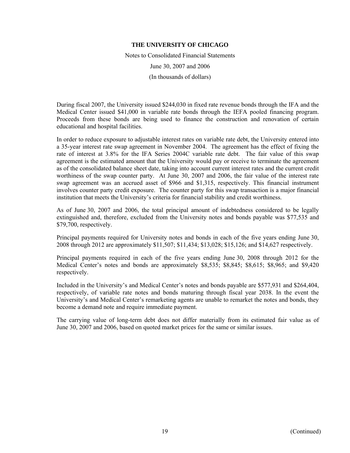Notes to Consolidated Financial Statements June 30, 2007 and 2006 (In thousands of dollars)

During fiscal 2007, the University issued \$244,030 in fixed rate revenue bonds through the IFA and the Medical Center issued \$41,000 in variable rate bonds through the IEFA pooled financing program. Proceeds from these bonds are being used to finance the construction and renovation of certain educational and hospital facilities.

In order to reduce exposure to adjustable interest rates on variable rate debt, the University entered into a 35-year interest rate swap agreement in November 2004. The agreement has the effect of fixing the rate of interest at 3.8% for the IFA Series 2004C variable rate debt. The fair value of this swap agreement is the estimated amount that the University would pay or receive to terminate the agreement as of the consolidated balance sheet date, taking into account current interest rates and the current credit worthiness of the swap counter party. At June 30, 2007 and 2006, the fair value of the interest rate swap agreement was an accrued asset of \$966 and \$1,315, respectively. This financial instrument involves counter party credit exposure. The counter party for this swap transaction is a major financial institution that meets the University's criteria for financial stability and credit worthiness.

As of June 30, 2007 and 2006, the total principal amount of indebtedness considered to be legally extinguished and, therefore, excluded from the University notes and bonds payable was \$77,535 and \$79,700, respectively.

Principal payments required for University notes and bonds in each of the five years ending June 30, 2008 through 2012 are approximately \$11,507; \$11,434; \$13,028; \$15,126; and \$14,627 respectively.

Principal payments required in each of the five years ending June 30, 2008 through 2012 for the Medical Center's notes and bonds are approximately \$8,535; \$8,845; \$8,615; \$8,965; and \$9,420 respectively.

Included in the University's and Medical Center's notes and bonds payable are \$577,931 and \$264,404, respectively, of variable rate notes and bonds maturing through fiscal year 2038. In the event the University's and Medical Center's remarketing agents are unable to remarket the notes and bonds, they become a demand note and require immediate payment.

The carrying value of long-term debt does not differ materially from its estimated fair value as of June 30, 2007 and 2006, based on quoted market prices for the same or similar issues.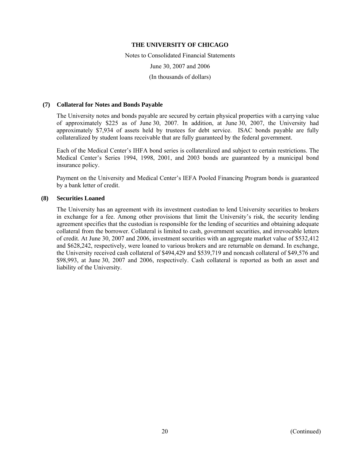Notes to Consolidated Financial Statements June 30, 2007 and 2006 (In thousands of dollars)

## **(7) Collateral for Notes and Bonds Payable**

The University notes and bonds payable are secured by certain physical properties with a carrying value of approximately \$225 as of June 30, 2007. In addition, at June 30, 2007, the University had approximately \$7,934 of assets held by trustees for debt service. ISAC bonds payable are fully collateralized by student loans receivable that are fully guaranteed by the federal government.

Each of the Medical Center's IHFA bond series is collateralized and subject to certain restrictions. The Medical Center's Series 1994, 1998, 2001, and 2003 bonds are guaranteed by a municipal bond insurance policy.

Payment on the University and Medical Center's IEFA Pooled Financing Program bonds is guaranteed by a bank letter of credit.

# **(8) Securities Loaned**

The University has an agreement with its investment custodian to lend University securities to brokers in exchange for a fee. Among other provisions that limit the University's risk, the security lending agreement specifies that the custodian is responsible for the lending of securities and obtaining adequate collateral from the borrower. Collateral is limited to cash, government securities, and irrevocable letters of credit. At June 30, 2007 and 2006, investment securities with an aggregate market value of \$532,412 and \$628,242, respectively, were loaned to various brokers and are returnable on demand. In exchange, the University received cash collateral of \$494,429 and \$539,719 and noncash collateral of \$49,576 and \$98,993, at June 30, 2007 and 2006, respectively. Cash collateral is reported as both an asset and liability of the University.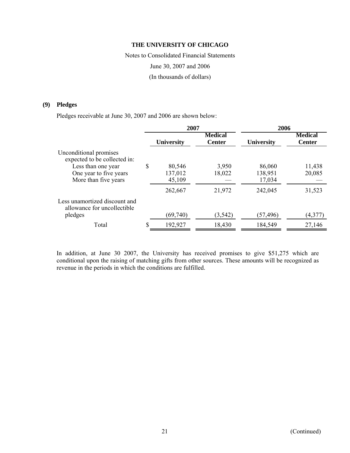Notes to Consolidated Financial Statements June 30, 2007 and 2006 (In thousands of dollars)

# **(9) Pledges**

Pledges receivable at June 30, 2007 and 2006 are shown below:

|                                                                                                        | 2007                    |                                 | 2006              |                                 |  |
|--------------------------------------------------------------------------------------------------------|-------------------------|---------------------------------|-------------------|---------------------------------|--|
|                                                                                                        | <b>University</b>       | <b>Medical</b><br><b>Center</b> | <b>University</b> | <b>Medical</b><br><b>Center</b> |  |
| Unconditional promises<br>expected to be collected in:<br>Less than one year<br>One year to five years | \$<br>80,546<br>137,012 | 3,950<br>18,022                 | 86,060<br>138,951 | 11,438<br>20,085                |  |
| More than five years                                                                                   | 45,109                  |                                 | 17,034            |                                 |  |
| Less unamortized discount and                                                                          | 262,667                 | 21,972                          | 242,045           | 31,523                          |  |
| allowance for uncollectible<br>pledges                                                                 | (69,740)                | (3, 542)                        | (57,496)          | (4,377)                         |  |
| Total                                                                                                  | 192,927                 | 18,430                          | 184,549           | 27,146                          |  |

In addition, at June 30 2007, the University has received promises to give \$51,275 which are conditional upon the raising of matching gifts from other sources. These amounts will be recognized as revenue in the periods in which the conditions are fulfilled.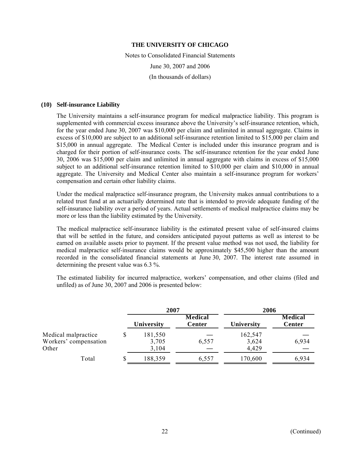Notes to Consolidated Financial Statements June 30, 2007 and 2006 (In thousands of dollars)

## **(10) Self-insurance Liability**

The University maintains a self-insurance program for medical malpractice liability. This program is supplemented with commercial excess insurance above the University's self-insurance retention, which, for the year ended June 30, 2007 was \$10,000 per claim and unlimited in annual aggregate. Claims in excess of \$10,000 are subject to an additional self-insurance retention limited to \$15,000 per claim and \$15,000 in annual aggregate. The Medical Center is included under this insurance program and is charged for their portion of self-insurance costs. The self-insurance retention for the year ended June 30, 2006 was \$15,000 per claim and unlimited in annual aggregate with claims in excess of \$15,000 subject to an additional self-insurance retention limited to \$10,000 per claim and \$10,000 in annual aggregate. The University and Medical Center also maintain a self-insurance program for workers' compensation and certain other liability claims.

Under the medical malpractice self-insurance program, the University makes annual contributions to a related trust fund at an actuarially determined rate that is intended to provide adequate funding of the self-insurance liability over a period of years. Actual settlements of medical malpractice claims may be more or less than the liability estimated by the University.

The medical malpractice self-insurance liability is the estimated present value of self-insured claims that will be settled in the future, and considers anticipated payout patterns as well as interest to be earned on available assets prior to payment. If the present value method was not used, the liability for medical malpractice self-insurance claims would be approximately \$45,500 higher than the amount recorded in the consolidated financial statements at June 30, 2007. The interest rate assumed in determining the present value was 6.3 %.

The estimated liability for incurred malpractice, workers' compensation, and other claims (filed and unfiled) as of June 30, 2007 and 2006 is presented below:

|                                                       |   | 2007                      |                          | 2006                      |                          |  |
|-------------------------------------------------------|---|---------------------------|--------------------------|---------------------------|--------------------------|--|
|                                                       |   | University                | <b>Medical</b><br>Center | University                | Medical<br><b>Center</b> |  |
| Medical malpractice<br>Workers' compensation<br>Other |   | 181,550<br>3,705<br>3,104 | 6,557                    | 162,547<br>3,624<br>4,429 | 6,934                    |  |
| Total                                                 | S | 188,359                   | 6,557                    | 170,600                   | 6,934                    |  |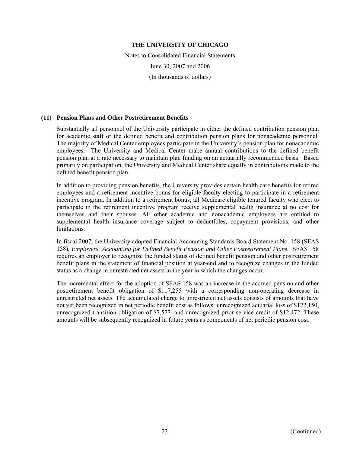Notes to Consolidated Financial Statements June 30, 2007 and 2006 (In thousands of dollars)

# **(11) Pension Plans and Other Postretirement Benefits**

Substantially all personnel of the University participate in either the defined contribution pension plan for academic staff or the defined benefit and contribution pension plans for nonacademic personnel. The majority of Medical Center employees participate in the University's pension plan for nonacademic employees. The University and Medical Center make annual contributions to the defined benefit pension plan at a rate necessary to maintain plan funding on an actuarially recommended basis. Based primarily on participation, the University and Medical Center share equally in contributions made to the defined benefit pension plan.

In addition to providing pension benefits, the University provides certain health care benefits for retired employees and a retirement incentive bonus for eligible faculty electing to participate in a retirement incentive program. In addition to a retirement bonus, all Medicare eligible tenured faculty who elect to participate in the retirement incentive program receive supplemental health insurance at no cost for themselves and their spouses. All other academic and nonacademic employees are entitled to supplemental health insurance coverage subject to deductibles, copayment provisions, and other limitations.

In fiscal 2007, the University adopted Financial Accounting Standards Board Statement No. 158 (SFAS 158), *Employers' Accounting for Defined Benefit Pension and Other Postretirement Plan*s. SFAS 158 requires an employer to recognize the funded status of defined benefit pension and other postretirement benefit plans in the statement of financial position at year-end and to recognize changes in the funded status as a change in unrestricted net assets in the year in which the changes occur.

The incremental effect for the adoption of SFAS 158 was an increase in the accrued pension and other postretirement benefit obligation of \$117,255 with a corresponding non-operating decrease in unrestricted net assets. The accumulated charge to unrestricted net assets consists of amounts that have not yet been recognized in net periodic benefit cost as follows: unrecognized actuarial loss of \$122,150, unrecognized transition obligation of \$7,577, and unrecognized prior service credit of \$12,472. These amounts will be subsequently recognized in future years as components of net periodic pension cost.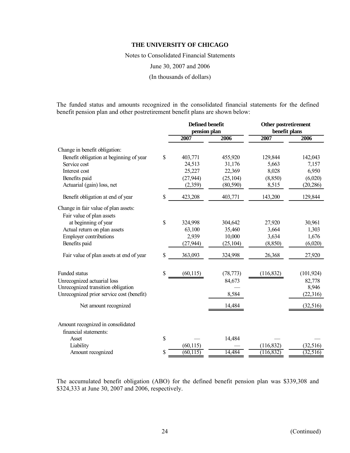Notes to Consolidated Financial Statements

June 30, 2007 and 2006

(In thousands of dollars)

The funded status and amounts recognized in the consolidated financial statements for the defined benefit pension plan and other postretirement benefit plans are shown below:

|                                           | <b>Defined benefit</b><br>pension plan |           | <b>Other postretirement</b><br>benefit plans |            |
|-------------------------------------------|----------------------------------------|-----------|----------------------------------------------|------------|
|                                           | 2007                                   | 2006      | 2007                                         | 2006       |
|                                           |                                        |           |                                              |            |
| Change in benefit obligation:             |                                        |           |                                              |            |
| Benefit obligation at beginning of year   | \$<br>403,771                          | 455,920   | 129,844                                      | 142,043    |
| Service cost                              | 24,513                                 | 31,176    | 5,663                                        | 7,157      |
| Interest cost                             | 25,227                                 | 22,369    | 8,028                                        | 6,950      |
| Benefits paid                             | (27, 944)                              | (25, 104) | (8, 850)                                     | (6,020)    |
| Actuarial (gain) loss, net                | (2,359)                                | (80, 590) | 8,515                                        | (20, 286)  |
| Benefit obligation at end of year         | \$<br>423,208                          | 403,771   | 143,200                                      | 129,844    |
| Change in fair value of plan assets:      |                                        |           |                                              |            |
| Fair value of plan assets                 |                                        |           |                                              |            |
| at beginning of year                      | \$<br>324,998                          | 304,642   | 27,920                                       | 30,961     |
| Actual return on plan assets              | 63,100                                 | 35,460    | 3,664                                        | 1,303      |
| <b>Employer contributions</b>             | 2,939                                  | 10,000    | 3,634                                        | 1,676      |
| Benefits paid                             | (27, 944)                              | (25, 104) | (8, 850)                                     | (6,020)    |
| Fair value of plan assets at end of year  | \$<br>363,093                          | 324,998   | 26,368                                       | 27,920     |
|                                           |                                        |           |                                              |            |
| Funded status                             | \$<br>(60, 115)                        | (78, 773) | (116, 832)                                   | (101, 924) |
| Unrecognized actuarial loss               |                                        | 84,673    |                                              | 82,778     |
| Unrecognized transition obligation        |                                        |           |                                              | 8,946      |
| Unrecognized prior service cost (benefit) |                                        | 8,584     |                                              | (22,316)   |
| Net amount recognized                     |                                        | 14,484    |                                              | (32, 516)  |
| Amount recognized in consolidated         |                                        |           |                                              |            |
| financial statements:                     |                                        |           |                                              |            |
| Asset                                     | \$                                     | 14,484    |                                              |            |
| Liability                                 | (60, 115)                              |           | (116, 832)                                   | (32,516)   |
| Amount recognized                         | \$<br>(60, 115)                        | 14,484    | (116, 832)                                   | (32, 516)  |

The accumulated benefit obligation (ABO) for the defined benefit pension plan was \$339,308 and \$324,333 at June 30, 2007 and 2006, respectively.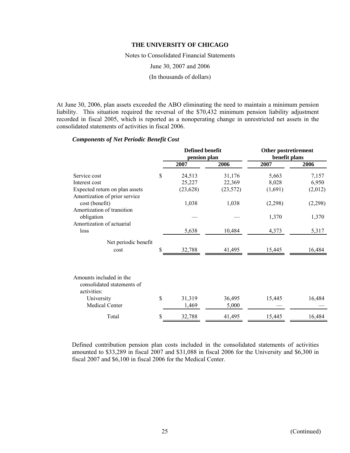Notes to Consolidated Financial Statements June 30, 2007 and 2006 (In thousands of dollars)

At June 30, 2006, plan assets exceeded the ABO eliminating the need to maintain a minimum pension liability. This situation required the reversal of the \$70,432 minimum pension liability adjustment recorded in fiscal 2005, which is reported as a nonoperating change in unrestricted net assets in the consolidated statements of activities in fiscal 2006.

# *Components of Net Periodic Benefit Cost*

|                                                                      | <b>Defined benefit</b><br>pension plan |                 | <b>Other postretirement</b><br>benefit plans |         |
|----------------------------------------------------------------------|----------------------------------------|-----------------|----------------------------------------------|---------|
|                                                                      | 2007                                   | 2006            | 2007                                         | 2006    |
| Service cost                                                         | \$<br>24,513                           | 31,176          | 5,663                                        | 7,157   |
| Interest cost                                                        | 25,227                                 | 22,369          | 8,028                                        | 6,950   |
| Expected return on plan assets<br>Amortization of prior service      | (23, 628)                              | (23, 572)       | (1,691)                                      | (2,012) |
| cost (benefit)<br>Amortization of transition                         | 1,038                                  | 1,038           | (2,298)                                      | (2,298) |
| obligation<br>Amortization of actuarial                              |                                        |                 | 1,370                                        | 1,370   |
| loss                                                                 | 5,638                                  | 10,484          | 4,373                                        | 5,317   |
| Net periodic benefit                                                 |                                        |                 |                                              |         |
| cost                                                                 | \$<br>32,788                           | 41,495          | 15,445                                       | 16,484  |
| Amounts included in the<br>consolidated statements of<br>activities: |                                        |                 |                                              |         |
| University<br>Medical Center                                         | \$<br>31,319<br>1,469                  | 36,495<br>5,000 | 15,445                                       | 16,484  |
| Total                                                                | \$<br>32,788                           | 41,495          | 15,445                                       | 16,484  |

Defined contribution pension plan costs included in the consolidated statements of activities amounted to \$33,289 in fiscal 2007 and \$31,088 in fiscal 2006 for the University and \$6,300 in fiscal 2007 and \$6,100 in fiscal 2006 for the Medical Center.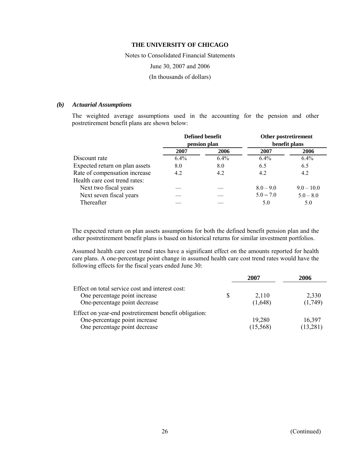Notes to Consolidated Financial Statements June 30, 2007 and 2006 (In thousands of dollars)

# *(b) Actuarial Assumptions*

The weighted average assumptions used in the accounting for the pension and other postretirement benefit plans are shown below:

|                                | Defined benefit<br>pension plan |         |               | Other postretirement |
|--------------------------------|---------------------------------|---------|---------------|----------------------|
|                                |                                 |         | benefit plans |                      |
|                                | 2007                            | 2006    | 2007          | 2006                 |
| Discount rate                  | $6.4\%$                         | $6.4\%$ | $6.4\%$       | 6.4%                 |
| Expected return on plan assets | 8.0                             | 8.0     | 6.5           | 6.5                  |
| Rate of compensation increase  | 4.2                             | 4.2     | 4.2           | 4.2                  |
| Health care cost trend rates:  |                                 |         |               |                      |
| Next two fiscal years          |                                 |         | $8.0 - 9.0$   | $9.0 - 10.0$         |
| Next seven fiscal years        |                                 |         | $5.0 - 7.0$   | $5.0 - 8.0$          |
| Thereafter                     |                                 |         | 5.0           | 5.0                  |
|                                |                                 |         |               |                      |

The expected return on plan assets assumptions for both the defined benefit pension plan and the other postretirement benefit plans is based on historical returns for similar investment portfolios.

Assumed health care cost trend rates have a significant effect on the amounts reported for health care plans. A one-percentage point change in assumed health care cost trend rates would have the following effects for the fiscal years ended June 30:

|                                                                                                                         |     | 2007               | 2006                |
|-------------------------------------------------------------------------------------------------------------------------|-----|--------------------|---------------------|
| Effect on total service cost and interest cost:<br>One percentage point increase<br>One-percentage point decrease       | \$. | 2,110<br>(1,648)   | 2,330<br>(1,749)    |
| Effect on year-end postretirement benefit obligation:<br>One-percentage point increase<br>One percentage point decrease |     | 19,280<br>(15,568) | 16,397<br>(13, 281) |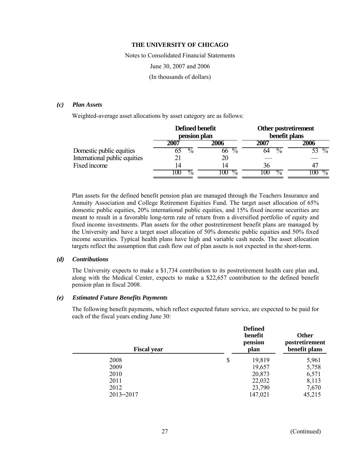Notes to Consolidated Financial Statements June 30, 2007 and 2006 (In thousands of dollars)

# *(c) Plan Assets*

Weighted-average asset allocations by asset category are as follows:

|                               |     | Defined benefit<br>pension plan                   | Other postretirement<br>benefit plans |                         |
|-------------------------------|-----|---------------------------------------------------|---------------------------------------|-------------------------|
|                               | 200 | 2006                                              | 2007                                  | 2006                    |
| Domestic public equities      |     | $\frac{0}{0}$<br>$\overline{\mathcal{O}}_0$<br>66 | $\overline{\%}$<br>64                 | $\sqrt[0]{\phantom{0}}$ |
| International public equities |     | 20                                                |                                       |                         |
| Fixed income                  | 14  | 14                                                | 36                                    |                         |
|                               |     | σ7,<br>$\sqrt{2}$<br>$\mathbf{u}$                 | $\frac{0}{0}$                         | $\frac{0}{2}$           |

Plan assets for the defined benefit pension plan are managed through the Teachers Insurance and Annuity Association and College Retirement Equities Fund. The target asset allocation of 65% domestic public equities, 20% international public equities, and 15% fixed income securities are meant to result in a favorable long-term rate of return from a diversified portfolio of equity and fixed income investments. Plan assets for the other postretirement benefit plans are managed by the University and have a target asset allocation of 50% domestic public equities and 50% fixed income securities. Typical health plans have high and variable cash needs. The asset allocation targets reflect the assumption that cash flow out of plan assets is not expected in the short-term.

# *(d) Contributions*

The University expects to make a \$1,734 contribution to its postretirement health care plan and, along with the Medical Center, expects to make a \$22,657 contribution to the defined benefit pension plan in fiscal 2008.

#### *(e) Estimated Future Benefits Payments*

The following benefit payments, which reflect expected future service, are expected to be paid for each of the fiscal years ending June 30:

| <b>Defined</b><br>benefit<br>pension<br>plan | <b>Other</b><br>postretirement<br>benefit plans |
|----------------------------------------------|-------------------------------------------------|
| \$<br>19,819                                 | 5,961                                           |
| 19,657                                       | 5,758                                           |
| 20,873                                       | 6,571                                           |
| 22,032                                       | 8,113                                           |
| 23,790                                       | 7,670                                           |
| 147,021                                      | 45,215                                          |
|                                              |                                                 |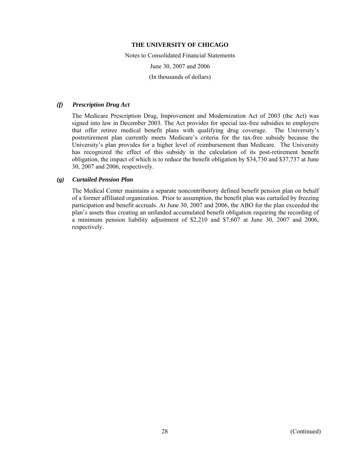Notes to Consolidated Financial Statements June 30, 2007 and 2006 (In thousands of dollars)

# *(f) Prescription Drug Act*

The Medicare Prescription Drug, Improvement and Modernization Act of 2003 (the Act) was signed into law in December 2003. The Act provides for special tax-free subsidies to employers that offer retiree medical benefit plans with qualifying drug coverage. The University's postretirement plan currently meets Medicare's criteria for the tax-free subsidy because the University's plan provides for a higher level of reimbursement than Medicare. The University has recognized the effect of this subsidy in the calculation of its post-retirement benefit obligation, the impact of which is to reduce the benefit obligation by \$34,730 and \$37,737 at June 30, 2007 and 2006, respectively.

# *(g) Curtailed Pension Plan*

The Medical Center maintains a separate noncontributory defined benefit pension plan on behalf of a former affiliated organization. Prior to assumption, the benefit plan was curtailed by freezing participation and benefit accruals. At June 30, 2007 and 2006, the ABO for the plan exceeded the plan's assets thus creating an unfunded accumulated benefit obligation requiring the recording of a minimum pension liability adjustment of \$2,210 and \$7,607 at June 30, 2007 and 2006, respectively.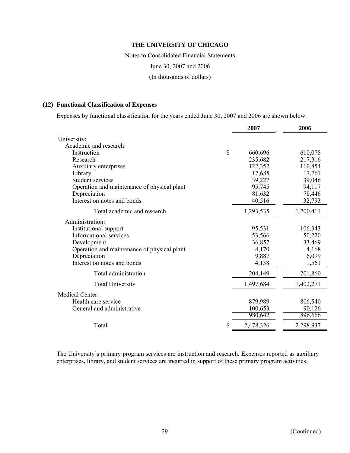Notes to Consolidated Financial Statements June 30, 2007 and 2006 (In thousands of dollars)

# **(12) Functional Classification of Expenses**

Expenses by functional classification for the years ended June 30, 2007 and 2006 are shown below:

| 2007      | 2006                                                                           |
|-----------|--------------------------------------------------------------------------------|
|           |                                                                                |
|           |                                                                                |
| 660,696   | 610,078                                                                        |
| 235,682   | 217,316                                                                        |
| 122,352   | 110,854                                                                        |
| 17,685    | 17,761                                                                         |
|           | 39,046                                                                         |
|           | 94,117                                                                         |
|           | 78,446                                                                         |
|           | 32,793                                                                         |
| 1,293,535 | 1,200,411                                                                      |
|           |                                                                                |
|           | 106,343                                                                        |
|           | 50,220                                                                         |
| 36,857    | 33,469                                                                         |
| 4,170     | 4,168                                                                          |
| 9,887     | 6,099                                                                          |
| 4,138     | 1,561                                                                          |
| 204,149   | 201,860                                                                        |
| 1,497,684 | 1,402,271                                                                      |
|           |                                                                                |
|           | 806,540                                                                        |
|           | 90,126                                                                         |
| 980,642   | 896,666                                                                        |
| 2,478,326 | 2,298,937                                                                      |
|           | 39,227<br>95,745<br>81,632<br>40,516<br>95,531<br>53,566<br>879,989<br>100,653 |

The University's primary program services are instruction and research. Expenses reported as auxiliary enterprises, library, and student services are incurred in support of these primary program activities.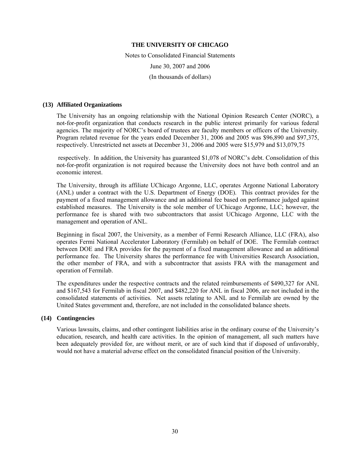Notes to Consolidated Financial Statements June 30, 2007 and 2006 (In thousands of dollars)

#### **(13) Affiliated Organizations**

The University has an ongoing relationship with the National Opinion Research Center (NORC), a not-for-profit organization that conducts research in the public interest primarily for various federal agencies. The majority of NORC's board of trustees are faculty members or officers of the University. Program related revenue for the years ended December 31, 2006 and 2005 was \$96,890 and \$97,375, respectively. Unrestricted net assets at December 31, 2006 and 2005 were \$15,979 and \$13,079,75

 respectively. In addition, the University has guaranteed \$1,078 of NORC's debt. Consolidation of this not-for-profit organization is not required because the University does not have both control and an economic interest.

The University, through its affiliate UChicago Argonne, LLC, operates Argonne National Laboratory (ANL) under a contract with the U.S. Department of Energy (DOE). This contract provides for the payment of a fixed management allowance and an additional fee based on performance judged against established measures. The University is the sole member of UChicago Argonne, LLC; however, the performance fee is shared with two subcontractors that assist UChicago Argonne, LLC with the management and operation of ANL.

Beginning in fiscal 2007, the University, as a member of Fermi Research Alliance, LLC (FRA), also operates Fermi National Accelerator Laboratory (Fermilab) on behalf of DOE. The Fermilab contract between DOE and FRA provides for the payment of a fixed management allowance and an additional performance fee. The University shares the performance fee with Universities Research Association, the other member of FRA, and with a subcontractor that assists FRA with the management and operation of Fermilab.

The expenditures under the respective contracts and the related reimbursements of \$490,327 for ANL and \$167,543 for Fermilab in fiscal 2007, and \$482,220 for ANL in fiscal 2006, are not included in the consolidated statements of activities. Net assets relating to ANL and to Fermilab are owned by the United States government and, therefore, are not included in the consolidated balance sheets.

## **(14) Contingencies**

Various lawsuits, claims, and other contingent liabilities arise in the ordinary course of the University's education, research, and health care activities. In the opinion of management, all such matters have been adequately provided for, are without merit, or are of such kind that if disposed of unfavorably, would not have a material adverse effect on the consolidated financial position of the University.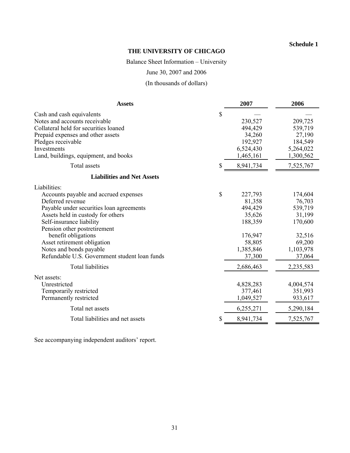# **Schedule 1**

# **THE UNIVERSITY OF CHICAGO**

Balance Sheet Information – University

June 30, 2007 and 2006

(In thousands of dollars)

| <b>Assets</b>                                                                                                                                                                                                                                                                                                                                                                              | 2007                                                                                                       | 2006                                                                                                      |
|--------------------------------------------------------------------------------------------------------------------------------------------------------------------------------------------------------------------------------------------------------------------------------------------------------------------------------------------------------------------------------------------|------------------------------------------------------------------------------------------------------------|-----------------------------------------------------------------------------------------------------------|
| \$<br>Cash and cash equivalents<br>Notes and accounts receivable<br>Collateral held for securities loaned<br>Prepaid expenses and other assets<br>Pledges receivable<br>Investments<br>Land, buildings, equipment, and books                                                                                                                                                               | 230,527<br>494,429<br>34,260<br>192,927<br>6,524,430<br>1,465,161                                          | 209,725<br>539,719<br>27,190<br>184,549<br>5,264,022<br>1,300,562                                         |
| Total assets<br>S                                                                                                                                                                                                                                                                                                                                                                          | 8,941,734                                                                                                  | 7,525,767                                                                                                 |
| <b>Liabilities and Net Assets</b>                                                                                                                                                                                                                                                                                                                                                          |                                                                                                            |                                                                                                           |
| Liabilities:<br>\$<br>Accounts payable and accrued expenses<br>Deferred revenue<br>Payable under securities loan agreements<br>Assets held in custody for others<br>Self-insurance liability<br>Pension other postretirement<br>benefit obligations<br>Asset retirement obligation<br>Notes and bonds payable<br>Refundable U.S. Government student loan funds<br><b>Total liabilities</b> | 227,793<br>81,358<br>494,429<br>35,626<br>188,359<br>176,947<br>58,805<br>1,385,846<br>37,300<br>2,686,463 | 174,604<br>76,703<br>539,719<br>31,199<br>170,600<br>32,516<br>69,200<br>1,103,978<br>37,064<br>2,235,583 |
| Net assets:<br>Unrestricted<br>Temporarily restricted<br>Permanently restricted<br>Total net assets                                                                                                                                                                                                                                                                                        | 4,828,283<br>377,461<br>1,049,527<br>6,255,271                                                             | 4,004,574<br>351,993<br>933,617<br>5,290,184                                                              |
| Total liabilities and net assets                                                                                                                                                                                                                                                                                                                                                           | 8,941,734                                                                                                  | 7,525,767                                                                                                 |

See accompanying independent auditors' report.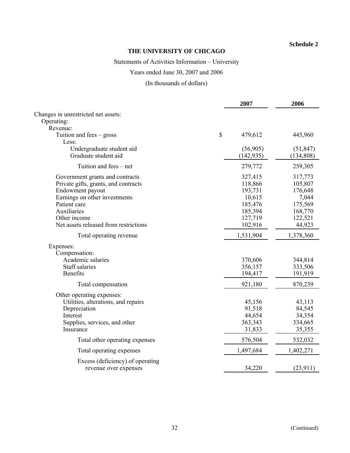# **Schedule 2**

# **THE UNIVERSITY OF CHICAGO**

# Statements of Activities Information – University

# Years ended June 30, 2007 and 2006

(In thousands of dollars)

|                                       | 2007          | 2006      |
|---------------------------------------|---------------|-----------|
| Changes in unrestricted net assets:   |               |           |
| Operating:                            |               |           |
| Revenue:                              |               |           |
| Tuition and fees $-$ gross<br>Less:   | \$<br>479,612 | 445,960   |
| Undergraduate student aid             | (56,905)      | (51, 847) |
| Graduate student aid                  | (142, 935)    | (134,808) |
| Tuition and fees – net                | 279,772       | 259,305   |
| Government grants and contracts       | 327,415       | 317,773   |
| Private gifts, grants, and contracts  | 118,866       | 105,807   |
| Endowment payout                      | 193,731       | 176,648   |
| Earnings on other investments         | 10,615        | 7,044     |
| Patient care                          | 185,476       | 175,569   |
| Auxiliaries                           | 185,394       | 168,770   |
| Other income                          | 127,719       | 122,521   |
| Net assets released from restrictions | 102,916       | 44,923    |
| Total operating revenue               | 1,531,904     | 1,378,360 |
| Expenses:                             |               |           |
| Compensation:                         |               |           |
| Academic salaries                     | 370,606       | 344,814   |
| <b>Staff salaries</b>                 | 356,157       | 333,506   |
| <b>Benefits</b>                       | 194,417       | 191,919   |
| Total compensation                    | 921,180       | 870,239   |
| Other operating expenses:             |               |           |
| Utilities, alterations, and repairs   | 45,156        | 43,113    |
| Depreciation                          | 91,518        | 84,545    |
| Interest                              | 44,654        | 34,354    |
| Supplies, services, and other         | 363,343       | 334,665   |
| Insurance                             | 31,833        | 35,355    |
| Total other operating expenses        | 576,504       | 532,032   |
| Total operating expenses              | 1,497,684     | 1,402,271 |
| Excess (deficiency) of operating      |               |           |
| revenue over expenses                 | 34,220        | (23, 911) |